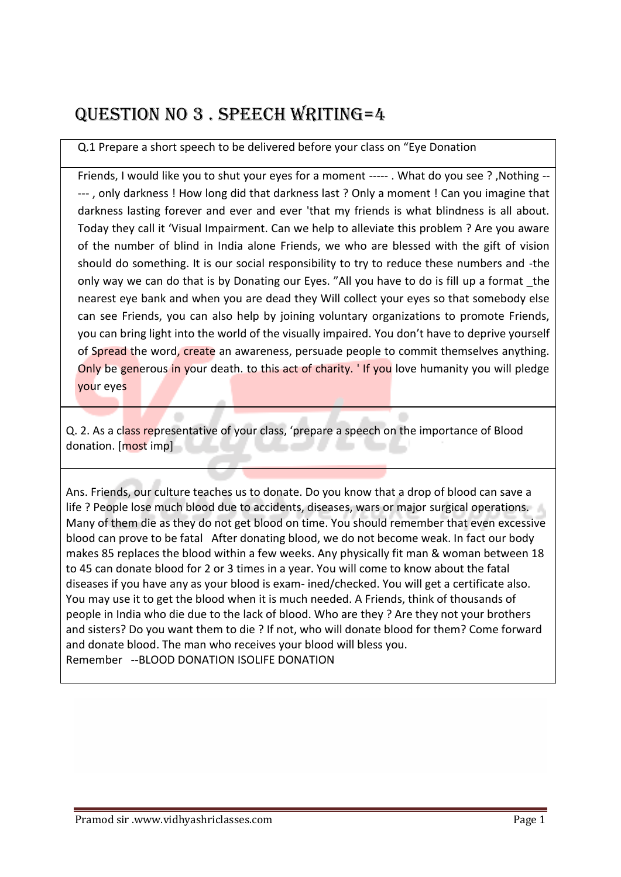# Question no 3 . speech writing=4

### Q.1 Prepare a short speech to be delivered before your class on "Eye Donation

Friends, I would like you to shut your eyes for a moment ----- . What do you see ? ,Nothing -- --- , only darkness ! How long did that darkness last ? Only a moment ! Can you imagine that darkness lasting forever and ever and ever 'that my friends is what blindness is all about. Today they call it 'Visual Impairment. Can we help to alleviate this problem ? Are you aware of the number of blind in India alone Friends, we who are blessed with the gift of vision should do something. It is our social responsibility to try to reduce these numbers and -the only way we can do that is by Donating our Eyes. "All you have to do is fill up a format the nearest eye bank and when you are dead they Will collect your eyes so that somebody else can see Friends, you can also help by joining voluntary organizations to promote Friends, you can bring light into the world of the visually impaired. You don't have to deprive yourself of Spread the word, create an awareness, persuade people to commit themselves anything. Only be generous in your death. to this act of charity. ' If you love humanity you will pledge your eyes

Q. 2. As a class representative of your class, 'prepare a speech on the importance of Blood donation. [most imp]

Ans. Friends, our culture teaches us to donate. Do you know that a drop of blood can save a life ? People lose much blood due to accidents, diseases, wars or major surgical operations. Many of them die as they do not get blood on time. You should remember that even excessive blood can prove to be fatal After donating blood, we do not become weak. In fact our body makes 85 replaces the blood within a few weeks. Any physically fit man & woman between 18 to 45 can donate blood for 2 or 3 times in a year. You will come to know about the fatal diseases if you have any as your blood is exam- ined/checked. You will get a certificate also. You may use it to get the blood when it is much needed. A Friends, think of thousands of people in India who die due to the lack of blood. Who are they ? Are they not your brothers and sisters? Do you want them to die ? If not, who will donate blood for them? Come forward and donate blood. The man who receives your blood will bless you. Remember --BLOOD DONATION ISOLIFE DONATION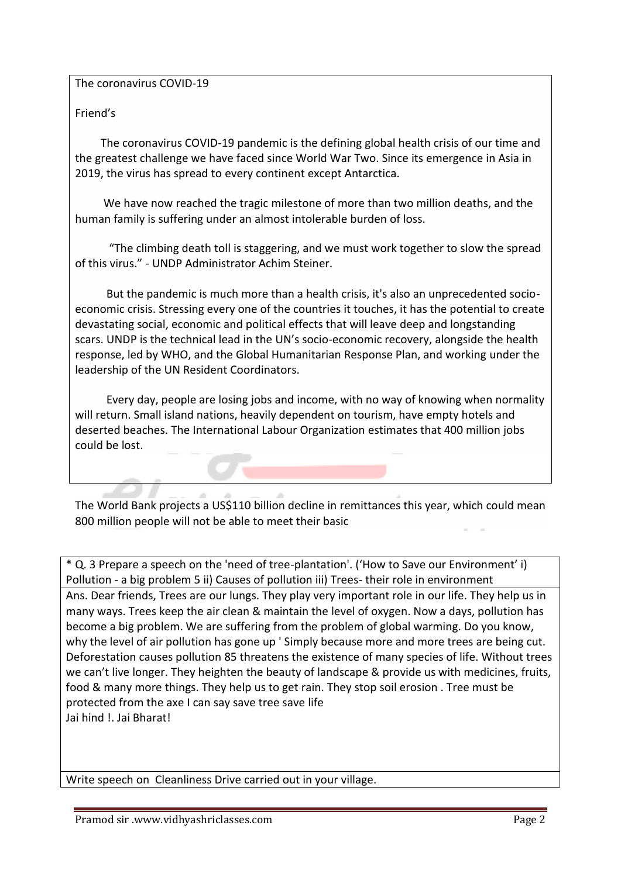The coronavirus COVID-19

### Friend's

 The coronavirus COVID-19 pandemic is the defining global health crisis of our time and the greatest challenge we have faced since World War Two. Since its emergence in Asia in 2019, the virus has spread to [every continent](https://www.undp.org/content/undp/en/home/covid-19-pandemic-response.html#covid19dashboard) except Antarctica.

 We have now reached the tragic milestone of more than two million deaths, and the human family is suffering under an almost intolerable burden of loss.

 "The climbing death toll is staggering, and we must work together to slow the spread of this virus." - UNDP Administrator Achim Steiner.

 But the pandemic is much more than a health crisis, it's also an unprecedented socioeconomic crisis. Stressing every one of the countries it touches, it has the potential to create devastating social, economic and political effects that will leave deep and longstanding scars. UNDP is the technical lead in the UN's socio-economic recovery, alongside the health response, led by WHO, and the Global Humanitarian Response Plan, and working under the leadership of the UN Resident Coordinators.

 Every day, people are losing jobs and income, with no way of knowing when normality will return. Small island nations, heavily dependent on tourism, have empty hotels and deserted beaches. [The International Labour Organization](https://www.ilo.org/global/about-the-ilo/newsroom/news/WCMS_749398/lang--en/index.htm) estimates that 400 million jobs could be lost.

The World Bank projects a US\$110 billion decline in remittances this year, which could mean 800 million people will not be able to meet their basic

\* Q. 3 Prepare a speech on the 'need of tree-plantation'. ('How to Save our Environment' i) Pollution - a big problem 5 ii) Causes of pollution iii) Trees- their role in environment Ans. Dear friends, Trees are our lungs. They play very important role in our life. They help us in many ways. Trees keep the air clean & maintain the level of oxygen. Now a days, pollution has become a big problem. We are suffering from the problem of global warming. Do you know, why the level of air pollution has gone up ' Simply because more and more trees are being cut. Deforestation causes pollution 85 threatens the existence of many species of life. Without trees we can't live longer. They heighten the beauty of landscape & provide us with medicines, fruits, food & many more things. They help us to get rain. They stop soil erosion . Tree must be protected from the axe I can say save tree save life Jai hind !. Jai Bharat!

Write speech on Cleanliness Drive carried out in your village.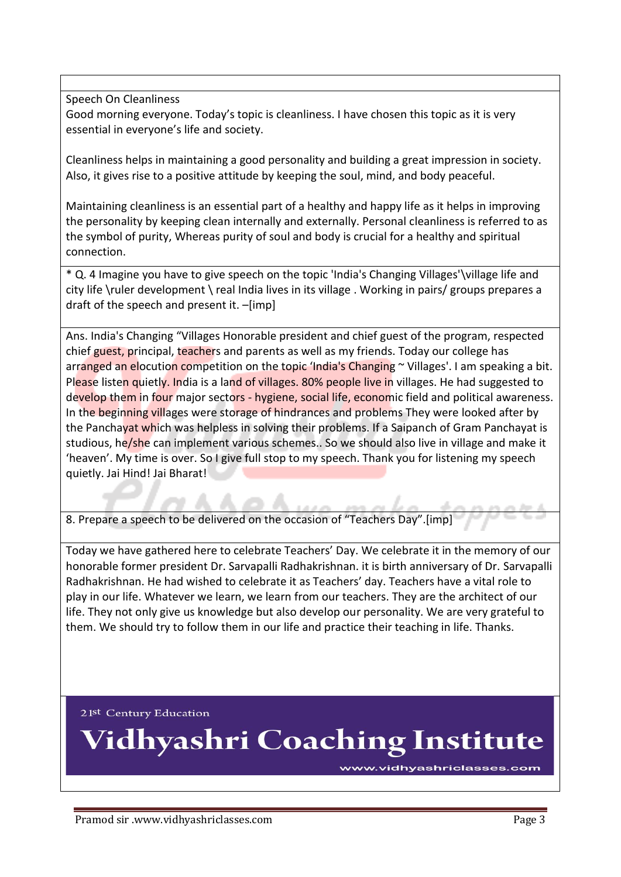Speech On Cleanliness

Good morning everyone. Today's topic is cleanliness. I have chosen this topic as it is very essential in everyone's life and society.

Cleanliness helps in maintaining a good personality and building a great impression in society. Also, it gives rise to a positive attitude by keeping the soul, mind, and body peaceful.

Maintaining cleanliness is an essential part of a healthy and happy life as it helps in improving the personality by keeping clean internally and externally. Personal cleanliness is referred to as the symbol of purity, Whereas purity of soul and body is crucial for a healthy and spiritual connection.

\* Q. 4 Imagine you have to give speech on the topic 'India's Changing Villages'\village life and city life \ruler development \ real India lives in its village . Working in pairs/ groups prepares a draft of the speech and present it. –[imp]

Ans. India's Changing "Villages Honorable president and chief guest of the program, respected chief guest, principal, teachers and parents as well as my friends. Today our college has arranged an elocution competition on the topic 'India's Changing ~ Villages'. I am speaking a bit. Please listen quietly. India is a land of villages. 80% people live in villages. He had suggested to develop them in four major sectors - hygiene, social life, economic field and political awareness. In the beginning villages were storage of hindrances and problems They were looked after by the Panchayat which was helpless in solving their problems. If a Saipanch of Gram Panchayat is studious, he/she can implement various schemes.. So we should also live in village and make it 'heaven'. My time is over. So I give full stop to my speech. Thank you for listening my speech quietly. Jai Hind! Jai Bharat!

8. Prepare a speech to be delivered on the occasion of "Teachers Day".[imp]

*M* & & *B* A

Today we have gathered here to celebrate Teachers' Day. We celebrate it in the memory of our honorable former president Dr. Sarvapalli Radhakrishnan. it is birth anniversary of Dr. Sarvapalli Radhakrishnan. He had wished to celebrate it as Teachers' day. Teachers have a vital role to play in our life. Whatever we learn, we learn from our teachers. They are the architect of our life. They not only give us knowledge but also develop our personality. We are very grateful to them. We should try to follow them in our life and practice their teaching in life. Thanks.

21st Century Education

**Vidhyashri Coaching Institute** 

www.vidhyashriclasses.com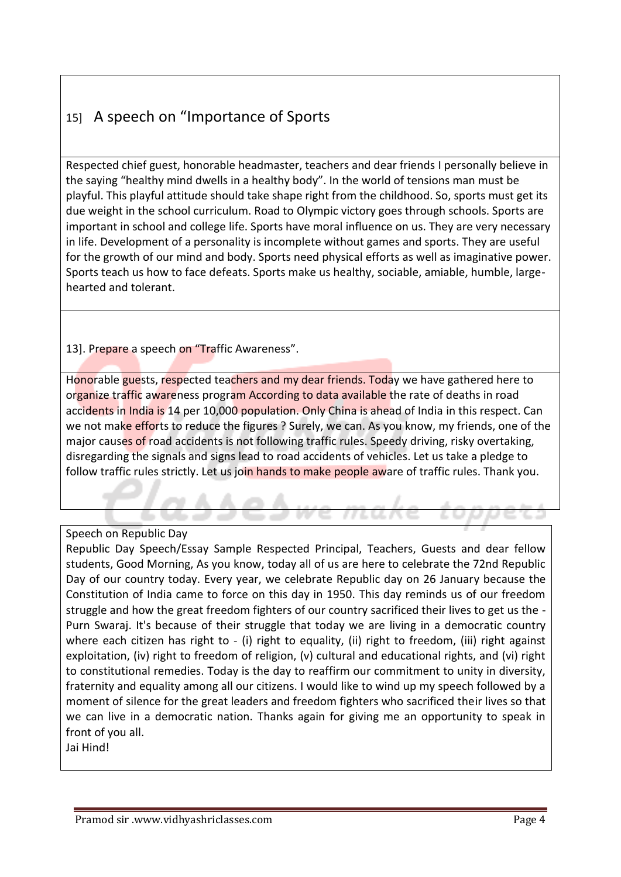## 15] A speech on "Importance of Sports

Respected chief guest, honorable headmaster, teachers and dear friends I personally believe in the saying "healthy mind dwells in a healthy body". In the world of tensions man must be playful. This playful attitude should take shape right from the childhood. So, sports must get its due weight in the school curriculum. Road to Olympic victory goes through schools. Sports are important in school and college life. Sports have moral influence on us. They are very necessary in life. Development of a personality is incomplete without games and sports. They are useful for the growth of our mind and body. Sports need physical efforts as well as imaginative power. Sports teach us how to face defeats. Sports make us healthy, sociable, amiable, humble, largehearted and tolerant.

13]. Prepare a speech on "Traffic Awareness".

Honorable guests, respected teachers and my dear friends. Today we have gathered here to organize traffic awareness program According to data available the rate of deaths in road accidents in India is 14 per 10,000 population. Only China is ahead of India in this respect. Can we not make efforts to reduce the figures ? Surely, we can. As you know, my friends, one of the major causes of road accidents is not following traffic rules. Speedy driving, risky overtaking, disregarding the signals and signs lead to road accidents of vehicles. Let us take a pledge to follow traffic rules strictly. Let us join hands to make people aware of traffic rules. Thank you.

#### Speech on Republic Day

Republic Day Speech/Essay Sample Respected Principal, Teachers, Guests and dear fellow students, Good Morning, As you know, today all of us are here to celebrate the 72nd Republic Day of our country today. Every year, we celebrate Republic day on 26 January because the Constitution of India came to force on this day in 1950. This day reminds us of our freedom struggle and how the great freedom fighters of our country sacrificed their lives to get us the - Purn Swaraj. It's because of their struggle that today we are living in a democratic country where each citizen has right to - (i) right to equality, (ii) right to freedom, (iii) right against exploitation, (iv) right to freedom of religion, (v) cultural and educational rights, and (vi) right to constitutional remedies. Today is the day to reaffirm our commitment to unity in diversity, fraternity and equality among all our citizens. I would like to wind up my speech followed by a moment of silence for the great leaders and freedom fighters who sacrificed their lives so that we can live in a democratic nation. Thanks again for giving me an opportunity to speak in front of you all. Jai Hind!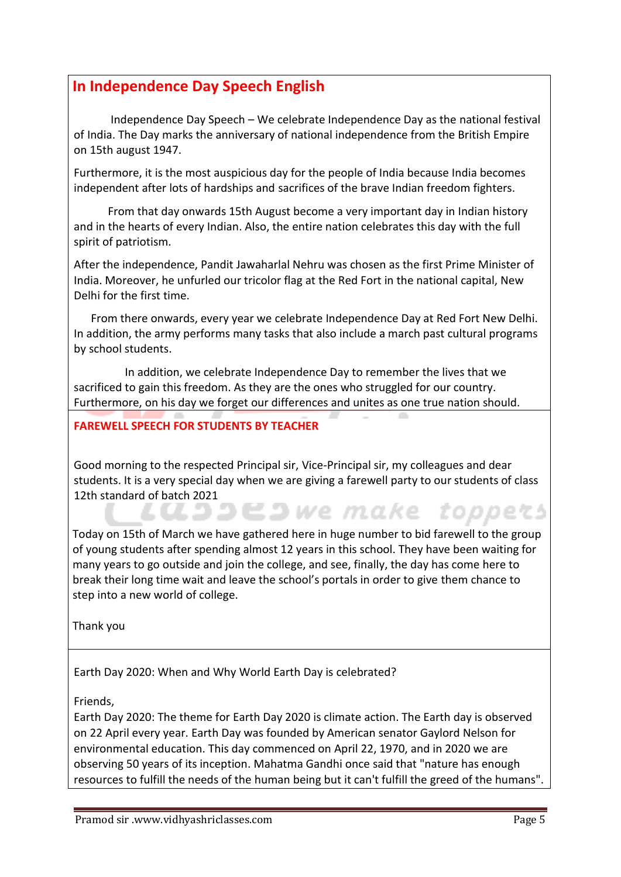### **In Independence Day Speech English**

 Independence Day Speech – We celebrate Independence Day as the national festival of India. The Day marks the anniversary of national independence from the British Empire on 15th august 1947.

Furthermore, it is the most auspicious day for the people of India because India becomes independent after lots of hardships and sacrifices of the brave Indian freedom fighters.

 From that day onwards 15th August become a very important day in Indian history and in the hearts of every Indian. Also, the entire nation celebrates this day with the full spirit of patriotism.

After the independence, Pandit Jawaharlal Nehru was chosen as the first Prime Minister of India. Moreover, he unfurled our tricolor flag at the Red Fort in the national capital, New Delhi for the first time.

 From there onwards, every year we celebrate Independence Day at Red Fort New Delhi. In addition, the army performs many tasks that also include a march past cultural programs by school students.

 In addition, we celebrate Independence Day to remember the lives that we sacrificed to gain this freedom. As they are the ones who struggled for our country. Furthermore, on his day we forget our differences and unites as one true nation should.

### **FAREWELL SPEECH FOR STUDENTS BY TEACHER**

Good morning to the respected Principal sir, Vice-Principal sir, my colleagues and dear students. It is a very special day when we are giving a farewell party to our students of class 12th standard of batch 2021<br>
and CLOSED We make toppets

Today on 15th of March we have gathered here in huge number to bid farewell to the group of young students after spending almost 12 years in this school. They have been waiting for many years to go outside and join the college, and see, finally, the day has come here to break their long time wait and leave the school's portals in order to give them chance to step into a new world of college.

Thank you

Earth Day 2020: When and Why World Earth Day is celebrated?

Friends,

Earth Day 2020: The theme for Earth Day 2020 is climate action. The Earth day is observed on 22 April every year. Earth Day was founded by American senator Gaylord Nelson for environmental education. This day commenced on April 22, 1970, and in 2020 we are observing 50 years of its inception. Mahatma Gandhi once said that "nature has enough resources to fulfill the needs of the human being but it can't fulfill the greed of the humans".